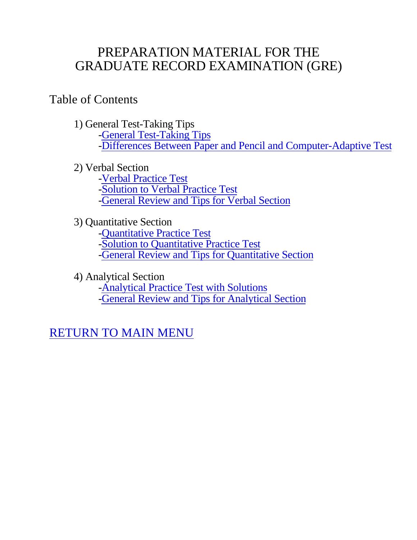# PREPARATION MATERIAL FOR THE GRADUATE RECORD EXAMINATION (GRE)

# Table of Contents

- 1) General Test-Taking Tips -General Test-Taking Tips -Differences Between Paper and Pencil and Computer-Adaptive Test
- 2) Verbal Section -Verbal Practice Test -Solution to Verbal Practice Test -General Review and Tips for Verbal Section
- 3) Quantitative Section -Quantitative Practice Test -Solution to Quantitative Practice Test -General Review and Tips for Quantitative Section

4) Analytical Section -Analytical Practice Test with Solutions -General Review and Tips for Analytical Section

RETURN TO MAIN MENU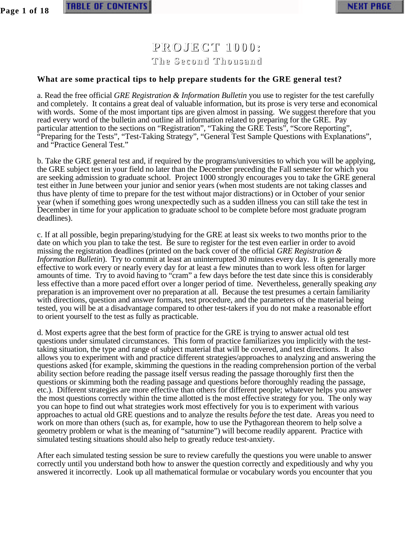**Page 1 of 18**

## **PROJECT 1000: The Second Thousand**

#### **What are some practical tips to help prepare students for the GRE general test?**

a. Read the free official *GRE Registration & Information Bulletin* you use to register for the test carefully and completely. It contains a great deal of valuable information, but its prose is very terse and economical with words. Some of the most important tips are given almost in passing. We suggest therefore that you read every word of the bulletin and outline all information related to preparing for the GRE. Pay particular attention to the sections on "Registration", "Taking the GRE Tests", "Score Reporting", "Preparing for the Tests", "Test-Taking Strategy", "General Test Sample Questions with Explanations", and "Practice General Test."

b. Take the GRE general test and, if required by the programs/universities to which you will be applying, the GRE subject test in your field no later than the December preceding the Fall semester for which you are seeking admission to graduate school. Project 1000 strongly encourages you to take the GRE general test either in June between your junior and senior years (when most students are not taking classes and thus have plenty of time to prepare for the test without major distractions) or in October of your senior year (when if something goes wrong unexpectedly such as a sudden illness you can still take the test in December in time for your application to graduate school to be complete before most graduate program deadlines).

c. If at all possible, begin preparing/studying for the GRE at least six weeks to two months prior to the date on which you plan to take the test. Be sure to register for the test even earlier in order to avoid missing the registration deadlines (printed on the back cover of the official *GRE Registration & Information Bulletin*). Try to commit at least an uninterrupted 30 minutes every day. It is generally more effective to work every or nearly every day for at least a few minutes than to work less often for larger amounts of time. Try to avoid having to "cram" a few days before the test date since this is considerably less effective than a more paced effort over a longer period of time. Nevertheless, generally speaking *any* preparation is an improvement over no preparation at all. Because the test presumes a certain familiarity with directions, question and answer formats, test procedure, and the parameters of the material being tested, you will be at a disadvantage compared to other test-takers if you do not make a reasonable effort to orient yourself to the test as fully as practicable.

d. Most experts agree that the best form of practice for the GRE is trying to answer actual old test questions under simulated circumstances. This form of practice familiarizes you implicitly with the testtaking situation, the type and range of subject material that will be covered, and test directions. It also allows you to experiment with and practice different strategies/approaches to analyzing and answering the questions asked (for example, skimming the questions in the reading comprehension portion of the verbal ability section before reading the passage itself versus reading the passage thoroughly first then the questions or skimming both the reading passage and questions before thoroughly reading the passage, etc.). Different strategies are more effective than others for different people; whatever helps you answer the most questions correctly within the time allotted is the most effective strategy for you. The only way you can hope to find out what strategies work most effectively for you is to experiment with various approaches to actual old GRE questions and to analyze the results *before* the test date. Areas you need to work on more than others (such as, for example, how to use the Pythagorean theorem to help solve a geometry problem or what is the meaning of "saturnine") will become readily apparent. Practice with simulated testing situations should also help to greatly reduce test-anxiety.

After each simulated testing session be sure to review carefully the questions you were unable to answer correctly until you understand both how to answer the question correctly and expeditiously and why you answered it incorrectly. Look up all mathematical formulae or vocabulary words you encounter that you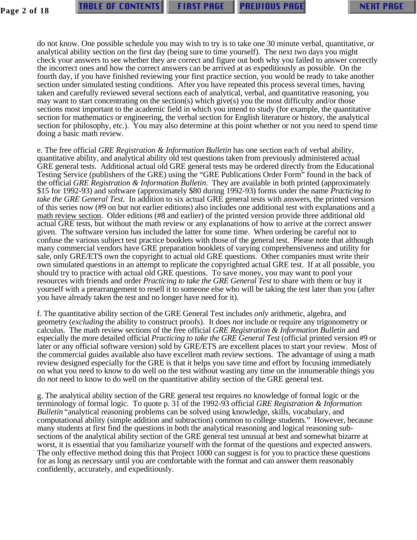do not know. One possible schedule you may wish to try is to take one 30 minute verbal, quantitative, or analytical ability section on the first day (being sure to time yourself). The next two days you might check your answers to see whether they are correct and figure out both why you failed to answer correctly the incorrect ones and how the correct answers can be arrived at as expeditiously as possible. On the fourth day, if you have finished reviewing your first practice section, you would be ready to take another section under simulated testing conditions. After you have repeated this process several times, having taken and carefully reviewed several sections each of analytical, verbal, and quantitative reasoning, you may want to start concentrating on the section(s) which give(s) you the most difficulty and/or those sections most important to the academic field in which you intend to study (for example, the quantitative section for mathematics or engineering, the verbal section for English literature or history, the analytical section for philosophy, etc.). You may also determine at this point whether or not you need to spend time doing a basic math review.

e. The free official *GRE Registration & Information Bulletin* has one section each of verbal ability, quantitative ability, and analytical ability old test questions taken from previously administered actual GRE general tests. Additional actual old GRE general tests may be ordered directly from the Educational Testing Service (publishers of the GRE) using the "GRE Publications Order Form" found in the back of the official *GRE Registration & Information Bulletin*. They are available in both printed (approximately \$15 for 1992-93) and software (approximately \$80 during 1992-93) forms under the name *Practicing to take the GRE General Test*. In addition to six actual GRE general tests with answers, the printed version of this series now (#9 on but not earlier editions) also includes one additional test with explanations and a math review section . Older editions (#8 and earlier) of the printed version provide three additional old actual GRE tests, but without the math review or any explanations of how to arrive at the correct answer given. The software version has included the latter for some time. When ordering be careful not to confuse the various subject test practice booklets with those of the general test. Please note that although many commercial vendors have GRE preparation booklets of varying comprehensiveness and utility for sale, only GRE/ETS own the copyright to actual old GRE questions. Other companies must write their own simulated questions in an attempt to replicate the copyrighted actual GRE test. If at all possible, you should try to practice with actual old GRE questions. To save money, you may want to pool your resources with friends and order *Practicing to take the GRE General Test* to share with them or buy it yourself with a prearrangement to resell it to someone else who will be taking the test later than you (after you have already taken the test and no longer have need for it).

f. The quantitative ability section of the GRE General Test includes *only* arithmetic, algebra, and geometry (*excluding* the ability to construct proofs). It does *not* include or require any trigonometry or calculus. The math review sections of the free official *GRE Registration & Information Bulletin* and especially the more detailed official *Practicing to take the GRE General Test* (official printed version #9 or later or any official software version) sold by GRE/ETS are excellent places to start your review. Most of the commercial guides available also have excellent math review sections. The advantage of using a math review designed especially for the GRE is that it helps you save time and effort by focusing immediately on what you need to know to do well on the test without wasting any time on the innumerable things you do *not* need to know to do well on the quantitative ability section of the GRE general test.

g. The analytical ability section of the GRE general test requires *no* knowledge of formal logic or the terminology of formal logic. To quote p. 31 of the 1992-93 official *GRE Registration & Information Bulletin* "analytical reasoning problems can be solved using knowledge, skills, vocabulary, and computational ability (simple addition and subtraction) common to college students." However, because many students at first find the questions in both the analytical reasoning and logical reasoning subsections of the analytical ability section of the GRE general test unusual at best and somewhat bizarre at worst, it is essential that you familiarize yourself with the format of the questions and expected answers. The only effective method doing this that Project 1000 can suggest is for you to practice these questions for as long as necessary until you are comfortable with the format and can answer them reasonably confidently, accurately, and expeditiously.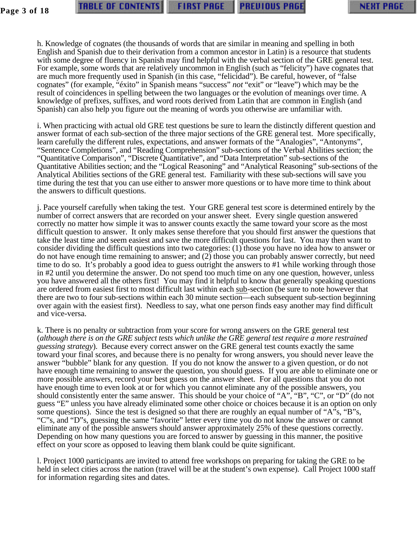h. Knowledge of cognates (the thousands of words that are similar in meaning and spelling in both English and Spanish due to their derivation from a common ancestor in Latin) is a resource that students with some degree of fluency in Spanish may find helpful with the verbal section of the GRE general test. For example, some words that are relatively uncommon in English (such as "felicity") have cognates that are much more frequently used in Spanish (in this case, "felicidad"). Be careful, however, of "false cognates" (for example, "éxito" in Spanish means "success" *not* "exit" or "leave") which may be the result of coincidences in spelling between the two languages or the evolution of meanings over time. A knowledge of prefixes, suffixes, and word roots derived from Latin that are common in English (and Spanish) can also help you figure out the meaning of words you otherwise are unfamiliar with.

i. When practicing with actual old GRE test questions be sure to learn the distinctly different question and answer format of each sub-section of the three major sections of the GRE general test. More specifically, learn carefully the different rules, expectations, and answer formats of the "Analogies", "Antonyms", "Sentence Completions", and "Reading Comprehension" sub-sections of the Verbal Abilities section; the "Quantitative Comparison", "Discrete Quantitative", and "Data Interpretation" sub-sections of the Quantitative Abilities section; and the "Logical Reasoning" and "Analytical Reasoning" sub-sections of the Analytical Abilities sections of the GRE general test. Familiarity with these sub-sections will save you time during the test that you can use either to answer more questions or to have more time to think about the answers to difficult questions.

j. Pace yourself carefully when taking the test. Your GRE general test score is determined entirely by the number of correct answers that are recorded on your answer sheet. Every single question answered correctly no matter how simple it was to answer counts exactly the same toward your score as the most difficult question to answer. It only makes sense therefore that you should first answer the questions that take the least time and seem easiest and save the more difficult questions for last. You may then want to consider dividing the difficult questions into two categories: (1) those you have no idea how to answer or do not have enough time remaining to answer; and (2) those you can probably answer correctly, but need time to do so. It's probably a good idea to guess outright the answers to #1 while working through those in #2 until you determine the answer. Do not spend too much time on any one question, however, unless you have answered all the others first! You may find it helpful to know that generally speaking questions are ordered from easiest first to most difficult last within each sub -section (be sure to note however that there are two to four sub-sections within each 30 minute section—each subsequent sub-section beginning over again with the easiest first). Needless to say, what one person finds easy another may find difficult and vice-versa.

k. There is no penalty or subtraction from your score for wrong answers on the GRE general test (*although there is on the GRE subject tests which unlike the GRE general test require a more restrained guessing strategy*). Because every correct answer on the GRE general test counts exactly the same toward your final scores, and because there is no penalty for wrong answers, you should never leave the answer "bubble" blank for any question. If you do not know the answer to a given question, or do not have enough time remaining to answer the question, you should guess. If you are able to eliminate one or more possible answers, record your best guess on the answer sheet. For all questions that you do not have enough time to even look at or for which you cannot eliminate any of the possible answers, you should consistently enter the same answer. This should be your choice of "A", "B", "C", or "D" (do not guess "E" unless you have already eliminated some other choice or choices because it is an option on only some questions). Since the test is designed so that there are roughly an equal number of "A"s, "B"s, "C"s, and "D"s, guessing the same "favorite" letter every time you do not know the answer or cannot eliminate any of the possible answers should answer approximately 25% of these questions correctly. Depending on how many questions you are forced to answer by guessing in this manner, the positive effect on your score as opposed to leaving them blank could be quite significant.

l. Project 1000 participants are invited to attend free workshops on preparing for taking the GRE to be held in select cities across the nation (travel will be at the student's own expense). Call Project 1000 staff for information regarding sites and dates.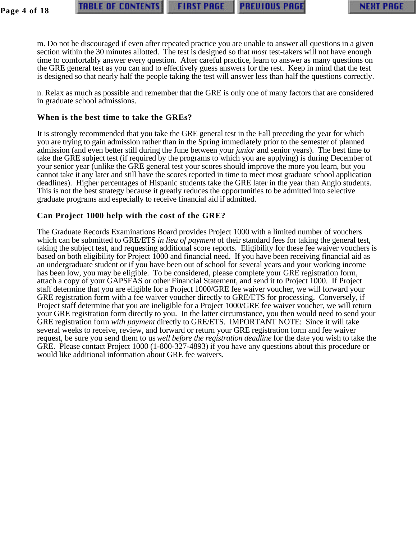m. Do not be discouraged if even after repeated practice you are unable to answer all questions in a given section within the 30 minutes allotted. The test is designed so that *most* test-takers will not have enough time to comfortably answer every question. After careful practice, learn to answer as many questions on the GRE general test as you can and to effectively guess answers for the rest. Keep in mind that the test is designed so that nearly half the people taking the test will answer less than half the questions correctly.

n. Relax as much as possible and remember that the GRE is only one of many factors that are considered in graduate school admissions.

### **When is the best time to take the GREs?**

It is strongly recommended that you take the GRE general test in the Fall preceding the year for which you are trying to gain admission rather than in the Spring immediately prior to the semester of planned admission (and even better still during the June between your *junior* and senior years). The best time to take the GRE subject test (if required by the programs to which you are applying) is during December of your senior year (unlike the GRE general test your scores should improve the more you learn, but you cannot take it any later and still have the scores reported in time to meet most graduate school application deadlines). Higher percentages of Hispanic students take the GRE later in the year than Anglo students. This is not the best strategy because it greatly reduces the opportunities to be admitted into selective graduate programs and especially to receive financial aid if admitted.

## **Can Project 1000 help with the cost of the GRE?**

The Graduate Records Examinations Board provides Project 1000 with a limited number of vouchers which can be submitted to GRE/ETS *in lieu of payment* of their standard fees for taking the general test, taking the subject test, and requesting additional score reports. Eligibility for these fee waiver vouchers is based on both eligibility for Project 1000 and financial need. If you have been receiving financial aid as an undergraduate student or if you have been out of school for several years and your working income has been low, you may be eligible. To be considered, please complete your GRE registration form, attach a copy of your GAPSFAS or other Financial Statement, and send it to Project 1000. If Project staff determine that you are eligible for a Project 1000/GRE fee waiver voucher, we will forward your GRE registration form with a fee waiver voucher directly to GRE/ETS for processing. Conversely, if Project staff determine that you are ineligible for a Project 1000/GRE fee waiver voucher, we will return your GRE registration form directly to you. In the latter circumstance, you then would need to send your GRE registration form *with payment* directly to GRE/ETS. IMPORTANT NOTE: Since it will take several weeks to receive, review, and forward or return your GRE registration form and fee waiver request, be sure you send them to us *well before the registration deadline* for the date you wish to take the GRE. Please contact Project 1000 (1-800-327-4893) if you have any questions about this procedure or would like additional information about GRE fee waivers.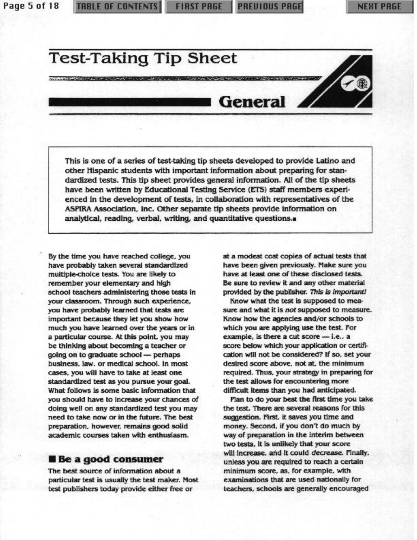Page 5 of 18

**PREUIOUS PAGE** 

# **Test-Taking Tip Sheet**

**NEW CRAW DOWN CONTINUES IN A CARD OF A STREET AND A STREET AND A STREET AND A STREET AND A STREET AND A STREET** 

# General **A**

This is one of a series of test-taking tip sheets developed to provide Latino and other Hispanic students with important information about preparing for standardized tests. This tip sheet provides general information. All of the tip sheets have been written by Educational Testing Service (ETS) staff members experienced in the development of tests, in collaboration with representatives of the ASPIRA Association, Inc. Other separate tip sheets provide information on analytical, reading, verbal, writing, and quantitative questions.

By the time you have reached college, you have probably taken several standardized multiple-choice tests. You are likely to remember your elementary and high school teachers administering those tests in your classroom. Through such experience, you have probably learned that tests are important because they let you show how much you have learned over the years or in a particular course. At this point, you may be thinking about becoming a teacher or going on to graduate school - perhaps business, law, or medical school. In most cases, you will have to take at least one standardized test as you pursue your goal. What follows is some basic information that you should have to increase your chances of doing well on any standardized test you may need to take now or in the future. The best preparation, however, remains good solid academic courses taken with enthusiasm.

#### **Be a good consumer**

The best source of information about a particular test is usually the test maker. Most test publishers today provide either free or

at a modest cost copies of actual tests that have been given previously. Make sure you have at least one of these disclosed tests. Be sure to review it and any other material provided by the publisher. This is important!

Know what the test is supposed to measure and what it is not supposed to measure. Know how the agencies and/or schools to which you are applying use the test. For example, is there a cut score - i.e., a score below which your application or certification will not be considered? If so, set your desired score above, not at, the minimum required. Thus, your strategy in preparing for the test allows for encountering more difficult items than you had anticipated.

Flan to do your best the first time you take the test. There are several reasons for this suggestion. First, it saves you time and money. Second, if you don't do much by way of preparation in the interim between two tests, it is unlikely that your score will increase, and it could decrease. Finally, unless you are required to reach a certain minimum score, as, for example, with examinations that are used nationally for teachers, schools are generally encouraged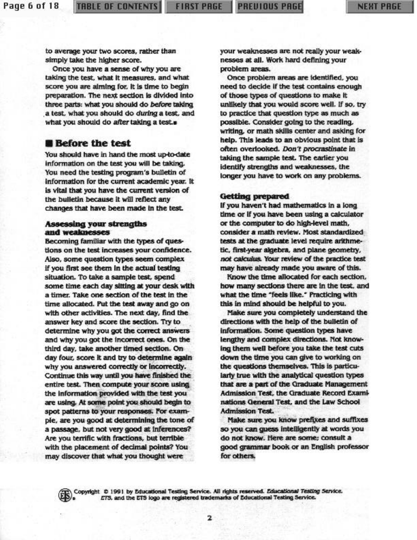to average your two scores, rather than simply take the higher score.

Once you have a sense of why you are taking the test, what it measures, and what score you are aiming for, it is time to begin preparation. The next section is divided into three parts: what you should do before taking a test, what you should do during a test, and what you should do after taking a test..

### **B** Before the test

You should have in hand the most up-to-date information on the test you will be taking. You need the testing program's bulletin of information for the current academic year. It is vital that you have the current version of the bulletin because it will reflect any changes that have been made in the test.

#### Assessing your strengths and weaknesses

Becoming familiar with the types of questions on the test increases your confidence. Also, some question types seem complex if you first see them in the actual testing situation. To take a sample test, spend some time each day sitting at your desk with a timer. Take one section of the test in the time allocated. Put the test away and go on with other activities. The next day, find the answer key and score the section. Try to determine why you got the correct answers and why you got the incorrect ones. On the third day, take another timed section. On day four, score it and try to determine again why you answered correctly or incorrectly. Continue this way until you have finished the entire test. Then compute your score using the information provided with the test you are using. At some point you should begin to spot patterns to your responses. For example, are you good at determining the tone of a passage, but not very good at inferences? Are you terrific with fractions, but terrible with the placement of decimal points? You may discover that what you thought were

your weaknesses are not really your weaknesses at all. Work hard defining your problem areas.

Once problem areas are identified, you need to decide if the test contains enough of those types of questions to make it unlikely that you would score well. If so, try to practice that question type as much as possible. Consider going to the reading. writing, or math skills center and asking for help. This leads to an obvious point that is often overlooked. Don't procrastinate in taking the sample test. The earlier you identify strengths and weaknesses, the longer you have to work on any problems.

#### **Getting prepared**

If you haven't had mathematics in a long time or if you have been using a calculator or the computer to do high-level math. consider a math review. Most standardized tests at the graduate level require arithmetic, first-year algebra, and plane geometry, not calculus. Your review of the practice test may have already made you aware of this.

Know the time allocated for each section, how many sections there are in the test, and what the time "feels like." Practicing with this in mind should be helpful to you.

Make sure you completely understand the directions with the help of the bulletin of information. Some question types have lengthy and complex directions. Not knowing them well before you take the test cuts down the time you can give to working on the questions themselves. This is particularly true with the analytical question types that are a part of the Graduate Management Admission Test, the Graduate Record Examinations General Test, and the Law School **Admission Test.** 

Make sure you know prefixes and suffixes so you can guess intelligently at words you do not know. Here are some; consult a good grammar book or an English professor for others.

Copyright @ 1991 by Educational Testing Service. All rights reserved. Educational Testing Service. ETS, and the ETS logo are registered trademarks of Educational Testing Service.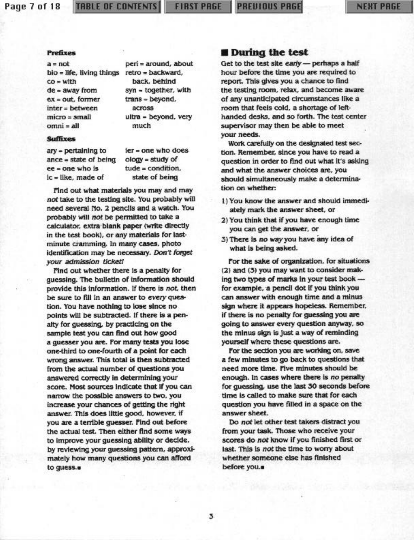#### Page 7 of 18

#### **TABLE OF CONTENTS**

**FIRST PAGE** 

**PREVIOUS PRGE** 

#### **Prefixes**

 $a = not$ bio = life, living things retro = backward,  $co = with$  $de = away from$  $ex = out.$  former inter = between micro = small omni = all

peri = around, about back, behind syn = together, with trans = beyond. across ultra - beyond, very much

#### **Suffixes**

ary = pertaining to ance - state of being ee - one who is ic - like, made of

 $ier = one$  who does ology = study of tude = condition, state of being

Find out what materials you may and may not take to the testing site. You probably will need several No. 2 pencils and a watch. You probably will not be permitted to take a calculator, extra blank paper (write directly in the test book), or any materials for lastminute cramming. In many cases, photo identification may be necessary. Don't forget your admission ticket!

Find out whether there is a penalty for quessing. The bulletin of information should provide this information. If there is not, then be sure to fill in an answer to every question. You have nothing to lose since no points will be subtracted. If there is a penalty for guessing, by practicing on the sample test you can find out how good a quesser you are. For many tests you lose one-third to one-fourth of a point for each wrong answer. This total is then subtracted from the actual number of questions you answered correctly in determining your score. Most sources indicate that if you can narrow the possible answers to two, you increase your chances of getting the right answer. This does little good, however, if you are a terrible guesser. Find out before the actual test. Then either find some ways to improve your quessing ability or decide. by reviewing your guessing pattern, approximately how many questions you can afford to guess.

#### **During the test**

Get to the test site early - perhaps a half hour before the time you are required to report. This gives you a chance to find the testing room, relax, and become aware of any unanticipated circumstances like a room that feels cold, a shortage of lefthanded desks, and so forth. The test center supervisor may then be able to meet your needs.

Work carefully on the designated test section. Remember, since you have to read a question in order to find out what it's asking and what the answer choices are, you should simultaneously make a determination on whether:

- 1) You know the answer and should immediately mark the answer sheet, or
- 2) You think that if you have enough time you can get the answer, or
- 3) There is no way you have any idea of what is being asked.

For the sake of organization, for situations (2) and (3) you may want to consider making two types of marks in your test book for example, a pencil dot if you think you can answer with enough time and a minus sign where it appears hopeless. Remember, if there is no penalty for guessing you are going to answer every question anyway, so the minus sign is just a way of reminding yourself where these questions are.

For the section you are working on, save a few minutes to go back to questions that need more time. Five minutes should be enough. In cases where there is no penalty for quessing, use the last 30 seconds before time is called to make sure that for each question you have filled in a space on the answer sheet.

Do not let other test takers distract you from your task. Those who receive your scores do not know if you finished first or last. This is not the time to worry about whether someone else has finished before you..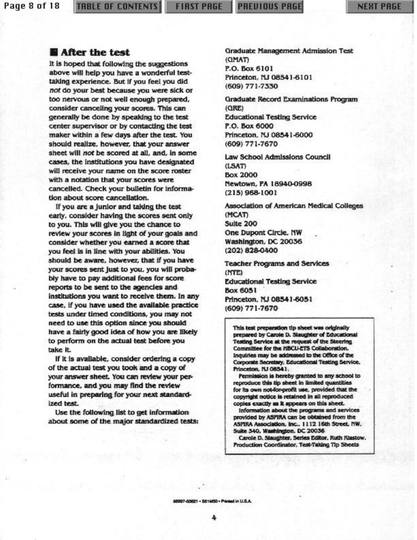Page 8 of 18

#### **TABLE OF CONTENTS**

**FIRST PAGE** 

#### After the test

It is hoped that following the suggestions above will help you have a wonderful testtaking experience. But if you feel you did not do your best because you were sick or too nervous or not well enough prepared, consider canceling your scores. This can generally be done by speaking to the test center supervisor or by contacting the test maker within a few days after the test. You should realize, however, that your answer sheet will not be scored at all, and, in some cases, the institutions you have designated will receive your name on the score roster with a notation that your scores were cancelled. Check your bulletin for information about score cancellation.

If you are a junior and taking the test early, consider having the scores sent only to you. This will give you the chance to review your scores in light of your goals and consider whether you earned a score that you feel is in line with your abilities. You should be aware, however, that if you have your scores sent just to you, you will probably have to pay additional fees for score reports to be sent to the agencies and institutions you want to receive them. In any case, if you have used the available practice tests under timed conditions, you may not need to use this option since you should have a fairly good idea of how you are likely to perform on the actual test before you take it.

If it is available, consider ordering a copy of the actual test you took and a copy of your answer sheet. You can review your performance, and you may find the review useful in preparing for your next standardized test.

Use the following list to get information about some of the major standardized tests: **Graduate Management Admission Test** (QMAT) P.O. Box 6101 Princeton, NJ 08541-6101 (609) 771-7330

**Graduate Record Examinations Program**  $(QRE)$ **Educational Testing Service** P.O. Box 6000 Princeton, NJ 08541-6000 (609) 771-7670

Law School Admissions Council (LSAT) **Box 2000** Newtown, PA 18940-0998  $(215)$  968-1001

Association of American Medical Colleges (MCAT) Suite 200 One Dupont Circle, NW Washington, DC 20036 (202) 828-0400

**Teacher Programs and Services** (NTE) **Educational Testing Service Box 6051** Princeton, NJ 08541-6051 (609) 771-7670

This test preparation tip sheet was originally prepared by Carole D. Slaughter of Educational Testing Service at the request of the Steering Committee for the HBCU-ETS Collaboration. Inquiries may be addressed to the Office of the Corporate Secretary, Educational Testing Service. Princeton, NJ 08541.

Permission is hereby granted to any school to reproduce this tip sheet in limited quantities for its own not-for-profit use, provided that the copyright notice is retained in all reproduced copies exactly as it appears on this sheet.

Information about the programs and services provided by ASPIRA can be obtained from the ASPIRA Association. Inc., 1112 16th Street, NW, Suite 340, Washington, DC 20036

Carole D. Slaughter, Series Editor, Ruth Klastow, Production Coordinator, Test-Taking Tip Sheets

88997-03821 - S61M50 - Printed in U.S.A.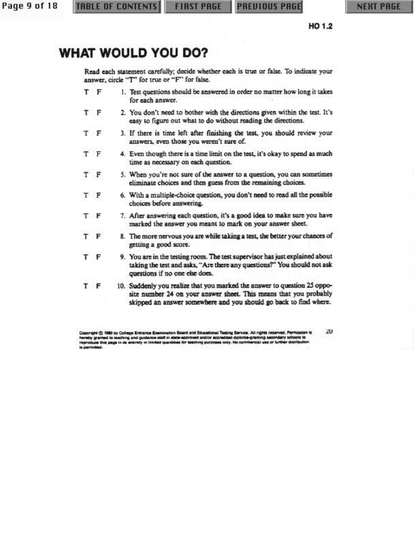Page 9 of 18

HO 1.2

# **WHAT WOULD YOU DO?**

Read each statement carefully; decide whether each is true or false. To indicate your answer, circle "T" for true or "F" for false.

- T F 1. Test questions should be answered in order no matter how long it takes for each answer.
- T. F 2. You don't need to bother with the directions given within the test. It's easy to figure out what to do without reading the directions.
- T - F 3. If there is time left after finishing the test, you should review your answers, even those you weren't sure of.
- т F 4. Even though there is a time limit on the test, it's okay to spend as much time as necessary on each question.
- т F 5. When you're not sure of the answer to a question, you can sometimes eliminate choices and then guess from the remaining choices.
- F 6. With a multiple-choice question, you don't need to read all the possible т choices before answering.
- 7. After answering each question, it's a good idea to make sure you have T - F marked the answer you meant to mark on your answer sheet.
- 8. The more nervous you are while taking a test, the better your chances of т F getting a good score.
- $F$ 9. You are in the testing room. The test supervisor has just explained about т taking the test and asks, "Are there any questions?" You should not ask questions if no one else does.
- T F 10. Suddenly you realize that you marked the answer to question 25 opposite number 24 on your answer sheet. This means that you probably skipped an answer somewhere and you should go back to find where.

usation Board and Educational Teating Service. All rights reserved. Permission is get (C 1989 by College Entraince Exam partied to leaching and guidance staff in state-approved and/or accredibid diploma-graming seco<br>as this page in its entirely in limited quantities for leaching purposes only. No commercial vise of graming secondary schools to<br>Hercial vise or lurther distribution y gramed to teaching and guidance staff in stab

ZU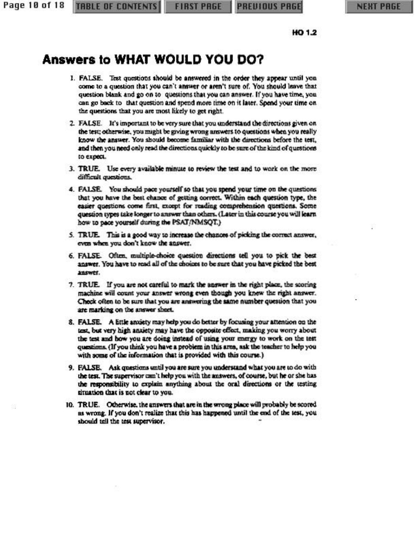Page 10 of 18

# Answers to WHAT WOULD YOU DO?

- I. FALSE. Test questions should be answered in the order they appear until you come to a question that you can't answer or aren't sure of. You should leave that question blank and go on to questions that you can answer. If you have time, you can go back to that question and spend more time on it later. Spend your time on the questions that you are most likely to get right.
- 2. FALSE. It's important to be very sure that you understand the directions given on the test; otherwise, you might be giving wrong answers to questions when you really know the answer. You should become familiar with the directions before the test, and then you need only read the directions quickly to be sure of the kind of questions to expect.
- 3. TRUE. Use every available minute to review the test and to work on the more difficult questions.
- 4. FALSE. You should pace yourself so that you spend your time on the questions that you have the best chance of getting correct. Within each question type, the easier questions come first, except for reading comprehension questions. Some question types take longer to answer than others. (Later in this course you will learn how to pace yourself during the PSAT/NMSOT.)
- 5. TRUE. This is a good way to increase the chances of picking the correct answer, even when you don't know the answer.
- 6. FALSE. Often, multiple-choice question directions tell you to pick the best answer. You have to read all of the choices to be sure that you have picked the best ancorer.
- 7. TRUE. If you are not careful to mark the answer in the right place, the scoring machine will count your answer wrong even though you knew the right answer. Check often to be sure that you are answering the same number question that you are marking on the answer sheet.
- 8. FALSE. A little anxiety may help you do better by focusing your attention on the test, but very high anxiety may have the opposite effect, making you worry about the test and how you are doing instead of using your margy to work on the test questions. (If you think you have a problem in this area, ask the teacher to help you with some of the information that is provided with this course.)
- 9. FALSE. Ask questions until you are sure you understand what you are to do with the test. The supervisor can't help you with the answers, of course, but he or she has the responsibility to explain anything about the oral directions or the testing situation that is not clear to you.
- 10. TRUE. Otherwise, the answers that are in the wrong place will probably be scored as wrong. If you don't realize that this has happened until the end of the test, you should tell the test supervisor.

HO 1.2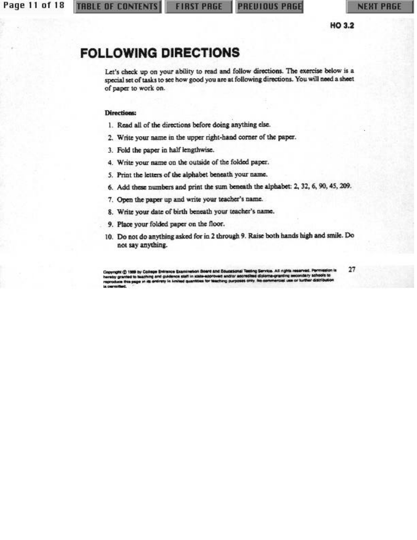HO 3.2

## **FOLLOWING DIRECTIONS**

Let's check up on your ability to read and follow directions. The exercise below is a special set of tasks to see how good you are at following directions. You will need a sheet of paper to work on.

#### **Directions:**

- 1. Read all of the directions before doing anything else.
- 2. Write your name in the upper right-hand corner of the paper.
- 3. Fold the paper in half lengthwise.
- 4. Write your name on the outside of the folded paper.
- 5. Print the letters of the alphabet beneath your name.
- 6. Add these numbers and print the sum beneath the alphabet: 2, 32, 6, 90, 45, 209.
- 7. Open the paper up and write your teacher's name.
- 8. Write your date of birth beneath your teacher's name.
- 9. Place your folded paper on the floor.
- 10. Do not do anything asked for in 2 through 9. Raise both hands high and smile. Do not say anything.

aton Board and Educational Testing Service. All rights reserved. Permission is<br>in state-approved and/or accredited diploma-granting secondary schools to Copyright @ 1989 by College Entra sce Examine granted to beaching and guidence staff in state<br>ca this page in its entirely in kinited quantities al use or turth er distrit ties for teaching purpo

27